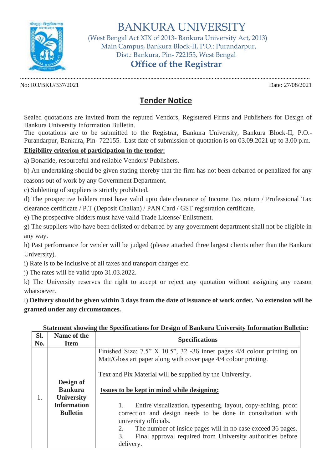

BANKURA UNIVERSITY

 (West Bengal Act XIX of 2013- Bankura University Act, 2013) Main Campus, Bankura Block-II, P.O.: Purandarpur, Dist.: Bankura, Pin- 722155, West Bengal

## **Office of the Registrar**

............................................................................................................................................................................................. No: RO/BKU/337/2021 Date: 27/08/2021

## **Tender Notice**

Sealed quotations are invited from the reputed Vendors, Registered Firms and Publishers for Design of Bankura University Information Bulletin.

The quotations are to be submitted to the Registrar, Bankura University, Bankura Block-II, P.O.- Purandarpur, Bankura, Pin- 722155. Last date of submission of quotation is on 03.09.2021 up to 3.00 p.m.

## **Eligibility criterion of participation in the tender:**

a) Bonafide, resourceful and reliable Vendors/ Publishers.

b) An undertaking should be given stating thereby that the firm has not been debarred or penalized for any

reasons out of work by any Government Department.

c) Subletting of suppliers is strictly prohibited.

d) The prospective bidders must have valid upto date clearance of Income Tax return / Professional Tax clearance certificate / P.T (Deposit Challan) / PAN Card / GST registration certificate.

e) The prospective bidders must have valid Trade License/ Enlistment.

g) The suppliers who have been delisted or debarred by any government department shall not be eligible in any way.

h) Past performance for vender will be judged (please attached three largest clients other than the Bankura University).

i) Rate is to be inclusive of all taxes and transport charges etc.

j) The rates will be valid upto 31.03.2022.

k) The University reserves the right to accept or reject any quotation without assigning any reason whatsoever.

l) **Delivery should be given within 3 days from the date of issuance of work order. No extension will be granted under any circumstances.**

## **Statement showing the Specifications for Design of Bankura University Information Bulletin:**

| SI.<br>No. | Name of the<br><b>Item</b>                                                                | <b>Specifications</b>                                                                                                                                                                                                                                                                                                                                                                                                                                                                                                                                        |
|------------|-------------------------------------------------------------------------------------------|--------------------------------------------------------------------------------------------------------------------------------------------------------------------------------------------------------------------------------------------------------------------------------------------------------------------------------------------------------------------------------------------------------------------------------------------------------------------------------------------------------------------------------------------------------------|
| 1.         | Design of<br><b>Bankura</b><br><b>University</b><br><b>Information</b><br><b>Bulletin</b> | Finished Size: $7.5$ " X 10.5", 32 -36 inner pages $4/4$ colour printing on<br>Matt/Gloss art paper along with cover page 4/4 colour printing.<br>Text and Pix Material will be supplied by the University.<br>Issues to be kept in mind while designing:<br>Entire visualization, typesetting, layout, copy-editing, proof<br>correction and design needs to be done in consultation with<br>university officials.<br>2.<br>The number of inside pages will in no case exceed 36 pages.<br>3.<br>Final approval required from University authorities before |
|            |                                                                                           | delivery.                                                                                                                                                                                                                                                                                                                                                                                                                                                                                                                                                    |